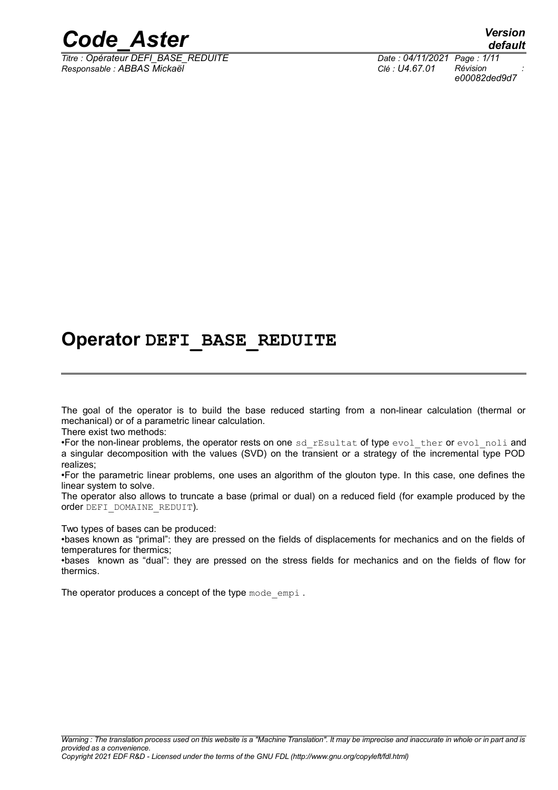

*Titre : Opérateur DEFI\_BASE\_REDUITE Date : 04/11/2021 Page : 1/11 Responsable : ABBAS Mickaël Clé : U4.67.01 Révision :*

*default e00082ded9d7*

## **Operator DEFI\_BASE\_REDUITE**

The goal of the operator is to build the base reduced starting from a non-linear calculation (thermal or mechanical) or of a parametric linear calculation.

There exist two methods:

•For the non-linear problems, the operator rests on one sd rEsultat of type evol ther or evol noli and a singular decomposition with the values (SVD) on the transient or a strategy of the incremental type POD realizes;

•For the parametric linear problems, one uses an algorithm of the glouton type. In this case, one defines the linear system to solve.

The operator also allows to truncate a base (primal or dual) on a reduced field (for example produced by the order DEFI\_DOMAINE\_REDUIT).

Two types of bases can be produced:

•bases known as "primal": they are pressed on the fields of displacements for mechanics and on the fields of temperatures for thermics;

•bases known as "dual": they are pressed on the stress fields for mechanics and on the fields of flow for thermics.

The operator produces a concept of the type mode empi.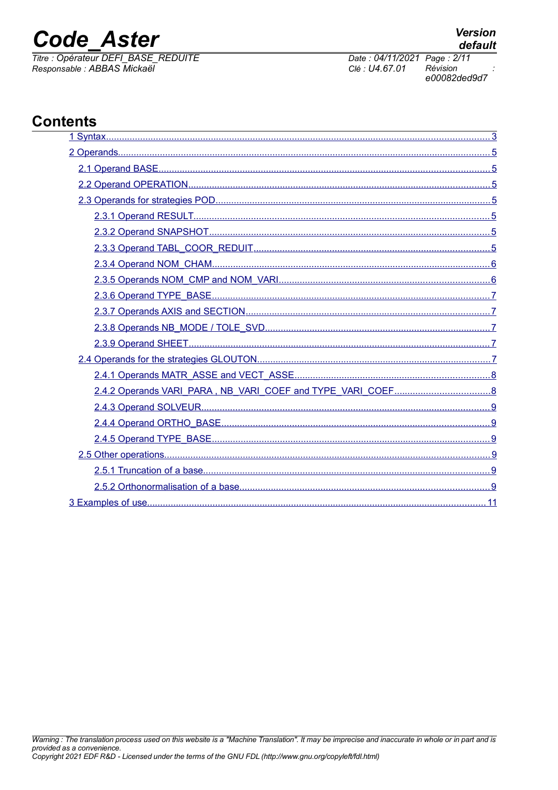# **Code Aster**

Titre : Opérateur DEFI BASE REDUITE Responsable : ABBAS Mickaël

Date: 04/11/2021 Page: 2/11 Clé : U4.67.01 Révision e00082ded9d7

## **Contents**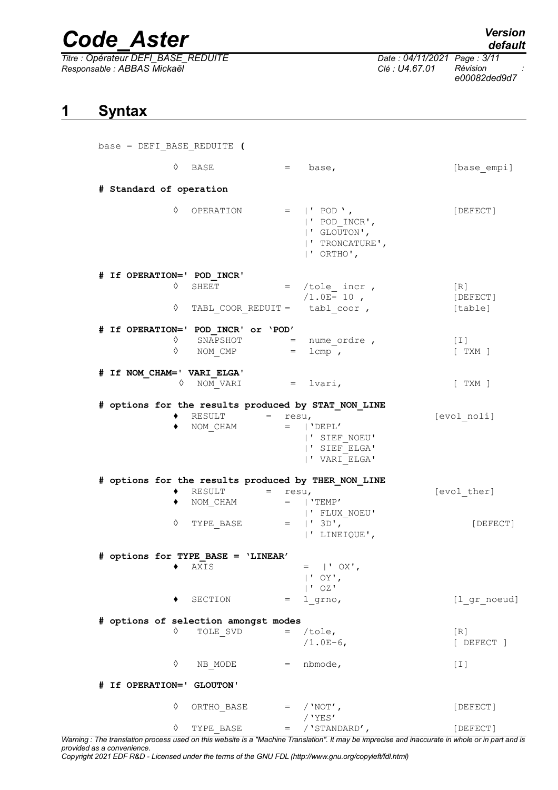*Titre : Opérateur DEFI\_BASE\_REDUITE Date : 04/11/2021 Page : 3/11 Responsable : ABBAS Mickaël Clé : U4.67.01 Révision :*

*default*

*e00082ded9d7*

### <span id="page-2-0"></span>**1 Syntax**

base = DEFI\_BASE\_REDUITE **(**

|                            | ♦<br>BASE                                                                          | $=$<br>base,                                                                                                                                  | [base empi]            |
|----------------------------|------------------------------------------------------------------------------------|-----------------------------------------------------------------------------------------------------------------------------------------------|------------------------|
| # Standard of operation    |                                                                                    |                                                                                                                                               |                        |
|                            | ♦<br>OPERATION                                                                     | $=$  'POD',<br> ' POD INCR',<br>  'GLOUTON',<br>  ' TRONCATURE',<br>  ' ORTHO',                                                               | [DEFECT]               |
| # If OPERATION=' POD INCR' |                                                                                    |                                                                                                                                               |                        |
|                            | ♦<br>SHEET                                                                         | $=$ /tole incr,<br>$/1.0E-10$ ,                                                                                                               | [R]<br>[DEFECT]        |
|                            | ♦                                                                                  | TABL COOR REDUIT = $tabl$ coor,                                                                                                               | [table]                |
|                            | # If OPERATION=' POD_INCR' or 'POD'                                                |                                                                                                                                               |                        |
|                            | SNAPSHOT<br>♦<br>$\begin{array}{lll} \text{NOM} & \text{CMP} & = \end{array}$<br>♦ | = nume ordre,<br>$lcmp$ ,                                                                                                                     | $[\;1]$<br>$[$ TXM $]$ |
| # If NOM CHAM=' VARI ELGA' |                                                                                    |                                                                                                                                               |                        |
|                            | ♦                                                                                  | NOM VARI $=$ lvari,                                                                                                                           | $[$ TXM $]$            |
|                            | RESULT<br>٠<br>NOM CHAM<br>٠                                                       | # options for the results produced by STAT_NON_LINE<br>$=$ $-$<br>resu,<br>$=$   'DEPL'<br>  ' SIEF NOEU'<br>  ' SIEF ELGA'<br>  ' VARI ELGA' | [evol noli]            |
|                            |                                                                                    | # options for the results produced by THER NON LINE                                                                                           |                        |
|                            | RESULT<br>NOM CHAM                                                                 | $=$ resu,<br>$=$   'TEMP'                                                                                                                     | [evol ther]            |
|                            | ♦                                                                                  | ' FLUX NOEU'<br>TYPE BASE $=  ' 3D',$<br> ' LINEIQUE',                                                                                        | [DEFECT]               |
|                            | # options for TYPE BASE = 'LINEAR'                                                 |                                                                                                                                               |                        |
|                            | AXIS<br>٠                                                                          | $=$   $\overline{OX}$ ,<br>$ $ ' OY',<br>$ $ ' OZ'                                                                                            |                        |
|                            | SECTION                                                                            | $=$ 1 grno,                                                                                                                                   | [1 gr noeud]           |
|                            | # options of selection amongst modes                                               |                                                                                                                                               |                        |
|                            | ♦<br>TOLE SVD                                                                      | /tole,<br>$=$<br>$/1.0E-6$ ,                                                                                                                  | [R]<br>[ DEFECT ]      |
|                            | ♦<br>NB MODE                                                                       | $=$ nbmode,                                                                                                                                   | $[1]$                  |
| # If OPERATION=' GLOUTON'  |                                                                                    |                                                                                                                                               |                        |
|                            | ♦<br>ORTHO BASE                                                                    | $=$ / 'NOT',                                                                                                                                  | [DEFECT]               |
|                            |                                                                                    | $/$ 'YES'                                                                                                                                     |                        |

*Warning : The translation process used on this website is a "Machine Translation". It may be imprecise and inaccurate in whole or in part and is provided as a convenience.*

*Copyright 2021 EDF R&D - Licensed under the terms of the GNU FDL (http://www.gnu.org/copyleft/fdl.html)*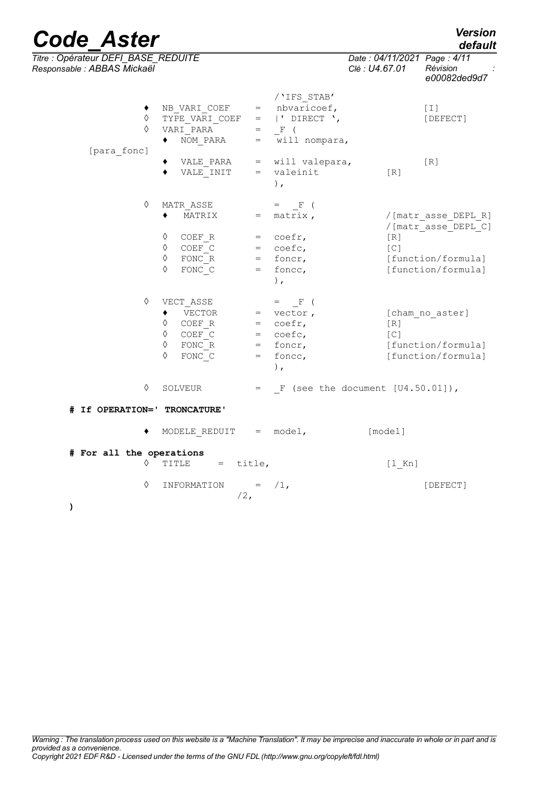*Titre : Opérateur DEFI\_BASE\_REDUITE Date : 04/11/2021 Page : 4/11 Responsable : ABBAS Mickaël Clé : U4.67.01 Révision :*

| awit . <i>ADDA</i> O <i>IVII</i> UNGCI |            |                                                                                                                                                                                                                   |                                                                                                                                                                                                                                                                                                                                                                                                                                                                                  | $U_{\sigma}$ . $U_{\tau}$ . $U_{\tau}$ . $U_{\tau}$ | 1101101011<br>e00082ded9d7                                                             |
|----------------------------------------|------------|-------------------------------------------------------------------------------------------------------------------------------------------------------------------------------------------------------------------|----------------------------------------------------------------------------------------------------------------------------------------------------------------------------------------------------------------------------------------------------------------------------------------------------------------------------------------------------------------------------------------------------------------------------------------------------------------------------------|-----------------------------------------------------|----------------------------------------------------------------------------------------|
| [para fonc]                            | ♦<br>♦     | NB_VARI_COEF<br>$\texttt{TYPE\_VARI\_COEF}$ =  'DIRECT ',<br>VARI_PARA<br>$\bullet$<br>NOM PARA                                                                                                                   | /'IFS STAB'<br>= nbvaricoef,<br>$=$ $\mathbb{F}$ (<br>$=$ will nompara,                                                                                                                                                                                                                                                                                                                                                                                                          |                                                     | $[\;1\;]$<br>[DEFECT]                                                                  |
|                                        |            | VALE PARA<br>٠<br>VALE INIT                                                                                                                                                                                       | = will valepara,<br>= valeinit<br>),                                                                                                                                                                                                                                                                                                                                                                                                                                             | $[ R ]$                                             | [R]                                                                                    |
|                                        | ♦          | MATR ASSE<br>MATRIX<br>$\Diamond$ COEFR<br>$\Diamond$ COEF_C<br>$\Diamond$ FONC <sub>R</sub><br>FONC C<br>♦                                                                                                       | $=$ $\qquad \qquad$ $\qquad \qquad$ $\qquad \qquad$ $\qquad \qquad$ $\qquad \qquad$ $\qquad \qquad$ $\qquad \qquad$ $\qquad \qquad$ $\qquad \qquad$ $\qquad \qquad$ $\qquad \qquad$ $\qquad \qquad$ $\qquad \qquad$ $\qquad \qquad$ $\qquad \qquad$ $\qquad \qquad$ $\qquad \qquad$ $\qquad \qquad$ $\qquad \qquad$ $\qquad \qquad$ $\qquad \qquad$ $\qquad \qquad$ $\qquad \qquad$ $\qquad \qquad$<br>$=$ matrix,<br>$=$ coefr,<br>$=$ coefc,<br>$=$ foncr,<br>$=$ foncc,<br>), | [R]<br>[C]                                          | /[matr asse DEPL R]<br>/[matr_asse_DEPL_C]<br>[function/formula]<br>[function/formula] |
|                                        | $\Diamond$ | VECT ASSE<br>$\blacklozenge$ VECTOR<br>$\begin{array}{cccc} \lozenge & \text{COEF\_R} & = & \text{coefr,} \\ \lozenge & \text{COEF C} & = & \text{coefc,} \end{array}$<br>$FONC$ $R$<br>$\Diamond$<br>FONC C<br>♦ | $=$ $\mathbb{F}$ (<br>$=$ vector,<br>= foncr,<br>$=$ foncc,<br>$\,$ ,                                                                                                                                                                                                                                                                                                                                                                                                            | [R]<br>[C]                                          | [cham no aster]<br>[function/formula]<br>[function/formula]                            |
|                                        | ♦          | SOLVEUR                                                                                                                                                                                                           | $=$ F (see the document $[U4.50.01]$ ),                                                                                                                                                                                                                                                                                                                                                                                                                                          |                                                     |                                                                                        |
| # If OPERATION=' TRONCATURE'           |            |                                                                                                                                                                                                                   |                                                                                                                                                                                                                                                                                                                                                                                                                                                                                  |                                                     |                                                                                        |
|                                        |            | MODELE REDUIT $=$ model,                                                                                                                                                                                          |                                                                                                                                                                                                                                                                                                                                                                                                                                                                                  | [model]                                             |                                                                                        |
| # For all the operations               | $\Diamond$ | TITLE = title,                                                                                                                                                                                                    |                                                                                                                                                                                                                                                                                                                                                                                                                                                                                  | $[1$ Kn]                                            |                                                                                        |
| $\lambda$                              | ♦          | INFORMATION = $/1$ ,<br>$/2$ ,                                                                                                                                                                                    |                                                                                                                                                                                                                                                                                                                                                                                                                                                                                  |                                                     | [DEFECT]                                                                               |

# *default*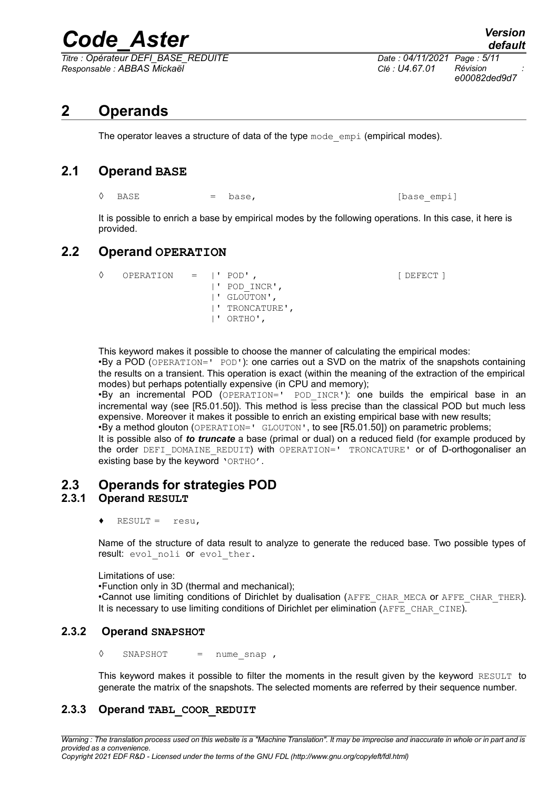*Titre : Opérateur DEFI\_BASE\_REDUITE Date : 04/11/2021 Page : 5/11 Responsable : ABBAS Mickaël Clé : U4.67.01 Révision :*

*e00082ded9d7*

## **2 Operands**

<span id="page-4-6"></span>The operator leaves a structure of data of the type  $\text{mode}$  empi (empirical modes).

### **2.1 Operand BASE**

<span id="page-4-5"></span>◊ BASE = base, [base\_empi]

It is possible to enrich a base by empirical modes by the following operations. In this case, it here is provided.

### **2.2 Operand OPERATION**

<span id="page-4-4"></span>◊ OPERATION = |' POD' , [ DEFECT ] |' POD\_INCR', |' GLOUTON', |' TRONCATURE', |' ORTHO',

This keyword makes it possible to choose the manner of calculating the empirical modes:

•By a POD (OPERATION=' POD'): one carries out a SVD on the matrix of the snapshots containing the results on a transient. This operation is exact (within the meaning of the extraction of the empirical modes) but perhaps potentially expensive (in CPU and memory);

•By an incremental POD (OPERATION=' POD\_INCR'): one builds the empirical base in an incremental way (see [R5.01.50]). This method is less precise than the classical POD but much less expensive. Moreover it makes it possible to enrich an existing empirical base with new results;  $\cdot$ By a method glouton (OPERATION=' GLOUTON', to see [R5.01.50]) on parametric problems;

It is possible also of *to truncate* a base (primal or dual) on a reduced field (for example produced by the order DEFI\_DOMAINE\_REDUIT) with OPERATION=' TRONCATURE' or of D-orthogonaliser an existing base by the keyword 'ORTHO'.

### <span id="page-4-3"></span>**2.3 Operands for strategies POD**

#### **2.3.1 Operand RESULT**

<span id="page-4-2"></span> $\triangleleft$  RESULT = resu,

Name of the structure of data result to analyze to generate the reduced base. Two possible types of result: evol noli or evol ther.

#### Limitations of use:

•Function only in 3D (thermal and mechanical);

•Cannot use limiting conditions of Dirichlet by dualisation (AFFE\_CHAR\_MECA or AFFE\_CHAR\_THER). It is necessary to use limiting conditions of Dirichlet per elimination (AFFE\_CHAR\_CINE).

#### **2.3.2 Operand SNAPSHOT**

<span id="page-4-1"></span>**◊** SNAPSHOT = nume\_snap ,

<span id="page-4-0"></span>This keyword makes it possible to filter the moments in the result given by the keyword RESULT to generate the matrix of the snapshots. The selected moments are referred by their sequence number.

#### **2.3.3 Operand TABL\_COOR\_REDUIT**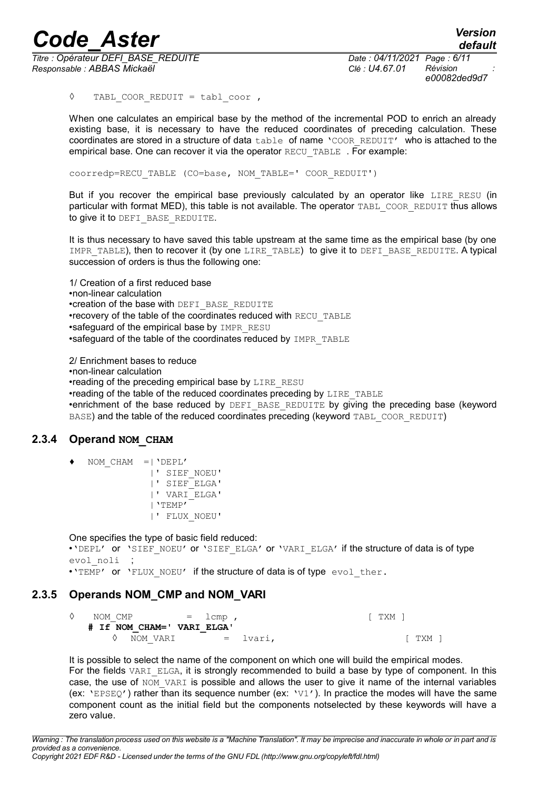*Titre : Opérateur DEFI\_BASE\_REDUITE Date : 04/11/2021 Page : 6/11 Responsable : ABBAS Mickaël Clé : U4.67.01 Révision :*

*e00082ded9d7*

**◊** TABL\_COOR\_REDUIT = tabl\_coor ,

When one calculates an empirical base by the method of the incremental POD to enrich an already existing base, it is necessary to have the reduced coordinates of preceding calculation. These coordinates are stored in a structure of data table of name 'COOR REDUIT' who is attached to the empirical base. One can recover it via the operator RECU\_TABLE . For example:

coorredp=RECU\_TABLE (CO=base, NOM\_TABLE=' COOR\_REDUIT')

But if you recover the empirical base previously calculated by an operator like LIRE RESU (in particular with format MED), this table is not available. The operator TABL\_COOR\_REDUIT thus allows to give it to DEFI\_BASE\_REDUITE.

It is thus necessary to have saved this table upstream at the same time as the empirical base (by one IMPR TABLE), then to recover it (by one LIRE TABLE) to give it to DEFI BASE REDUITE. A typical succession of orders is thus the following one:

1/ Creation of a first reduced base •non-linear calculation •creation of the base with DEFI\_BASE\_REDUITE •recovery of the table of the coordinates reduced with RECU\_TABLE •safeguard of the empirical base by IMPR\_RESU •safeguard of the table of the coordinates reduced by IMPR\_TABLE

2/ Enrichment bases to reduce

•non-linear calculation

•reading of the preceding empirical base by LIRE\_RESU

•reading of the table of the reduced coordinates preceding by LIRE\_TABLE

•enrichment of the base reduced by DEFI\_BASE\_REDUITE by giving the preceding base (keyword BASE) and the table of the reduced coordinates preceding (keyword TABL\_COOR\_REDUIT)

#### **2.3.4 Operand NOM\_CHAM**

- <span id="page-5-1"></span>NOM CHAM  $=$   $\degree$ DEPL'
	- |' SIEF\_NOEU' |' SIEF\_ELGA' |' VARI\_ELGA' |'TEMP' |' FLUX\_NOEU'

One specifies the type of basic field reduced:

•'DEPL' or 'SIEF NOEU' or 'SIEF ELGA' or 'VARI ELGA' if the structure of data is of type evol noli ;

<span id="page-5-0"></span>•'TEMP' or 'FLUX NOEU' if the structure of data is of type evol ther.

#### **2.3.5 Operands NOM\_CMP and NOM\_VARI**

| NOM CMP |                            | $=$ $1cmp$ ,  |  |  |  | . TXM ' |       |  |
|---------|----------------------------|---------------|--|--|--|---------|-------|--|
|         | # If NOM CHAM=' VARI ELGA' |               |  |  |  |         |       |  |
|         | NOM VARI                   | $=$ $lvari$ , |  |  |  |         | TXM 1 |  |

It is possible to select the name of the component on which one will build the empirical modes. For the fields VARI ELGA, it is strongly recommended to build a base by type of component. In this case, the use of NOM VARI is possible and allows the user to give it name of the internal variables (ex:  $VEPEQ'$ ) rather than its sequence number (ex:  $V1'$ ). In practice the modes will have the same component count as the initial field but the components notselected by these keywords will have a zero value.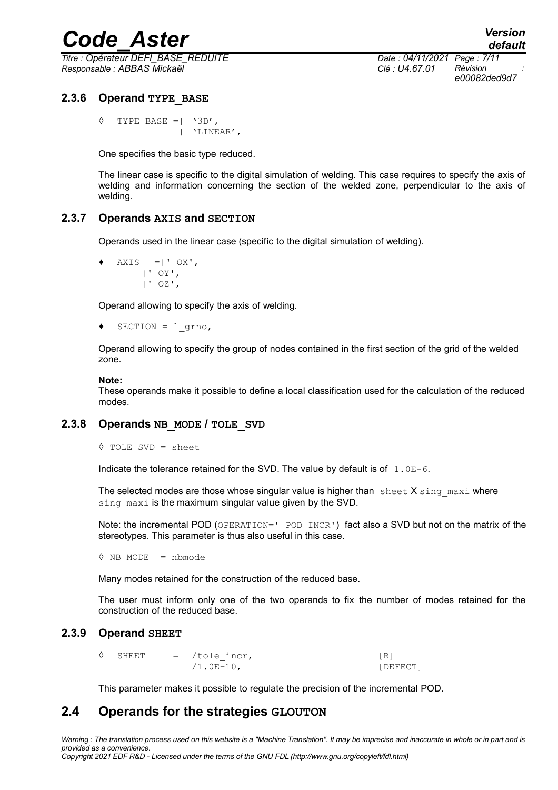*Titre : Opérateur DEFI\_BASE\_REDUITE Date : 04/11/2021 Page : 7/11 Responsable : ABBAS Mickaël Clé : U4.67.01 Révision :*

*e00082ded9d7*

#### **2.3.6 Operand TYPE\_BASE**

<span id="page-6-4"></span> $\Diamond$  TYPE BASE =| '3D', | 'LINEAR',

One specifies the basic type reduced.

The linear case is specific to the digital simulation of welding. This case requires to specify the axis of welding and information concerning the section of the welded zone, perpendicular to the axis of welding.

#### **2.3.7 Operands AXIS and SECTION**

<span id="page-6-3"></span>Operands used in the linear case (specific to the digital simulation of welding).

```
AXIS = |' OX' |' OY',
      |' OZ',
```
Operand allowing to specify the axis of welding.

```
♦ SECTION = l_grno,
```
Operand allowing to specify the group of nodes contained in the first section of the grid of the welded zone.

#### **Note:**

These operands make it possible to define a local classification used for the calculation of the reduced modes.

#### **2.3.8 Operands NB\_MODE / TOLE\_SVD**

```
◊ TOLE_SVD = sheet
```
Indicate the tolerance retained for the SVD. The value by default is of  $1.0E-6$ .

The selected modes are those whose singular value is higher than sheet  $X \sin q$  maxi where sing maxi is the maximum singular value given by the SVD.

Note: the incremental POD (OPERATION=' POD INCR') fact also a SVD but not on the matrix of the stereotypes. This parameter is thus also useful in this case.

**◊** NB\_MODE = nbmode

Many modes retained for the construction of the reduced base.

The user must inform only one of the two operands to fix the number of modes retained for the construction of the reduced base.

#### **2.3.9 Operand SHEET**

<span id="page-6-1"></span>

| $\Diamond$ SHEET |  | $=$ /tole incr, |          |  |
|------------------|--|-----------------|----------|--|
|                  |  | $/1.0E-10$ ,    | [DEFECT] |  |

<span id="page-6-0"></span>This parameter makes it possible to regulate the precision of the incremental POD.

#### **2.4 Operands for the strategies GLOUTON**

*Warning : The translation process used on this website is a "Machine Translation". It may be imprecise and inaccurate in whole or in part and is provided as a convenience. Copyright 2021 EDF R&D - Licensed under the terms of the GNU FDL (http://www.gnu.org/copyleft/fdl.html)*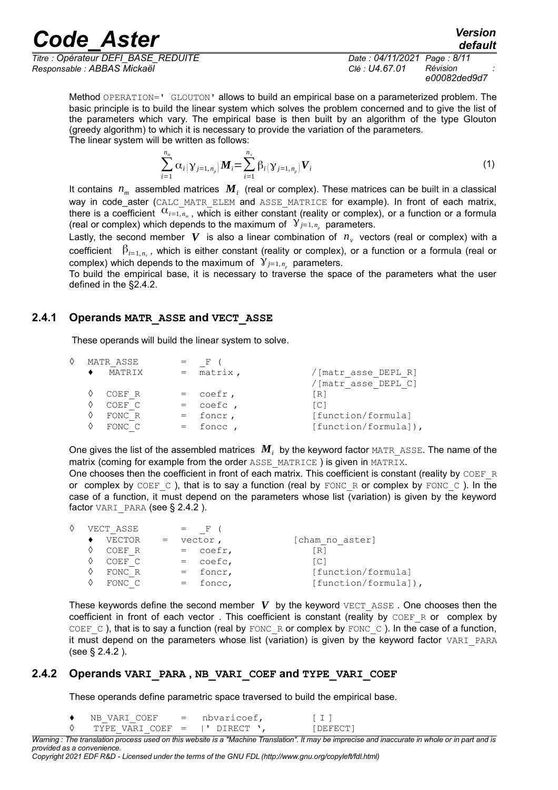*Titre : Opérateur DEFI\_BASE\_REDUITE Date : 04/11/2021 Page : 8/11 Responsable : ABBAS Mickaël Clé : U4.67.01 Révision :*

*e00082ded9d7*

*default*

Method OPERATION=' GLOUTON' allows to build an empirical base on a parameterized problem. The basic principle is to build the linear system which solves the problem concerned and to give the list of the parameters which vary. The empirical base is then built by an algorithm of the type Glouton (greedy algorithm) to which it is necessary to provide the variation of the parameters. The linear system will be written as follows:

$$
\sum_{i=1}^{n_m} \alpha_i (\gamma_{j=1, n_p}) \mathbf{M}_i = \sum_{i=1}^{n_v} \beta_i (\gamma_{j=1, n_p}) \mathbf{V}_i
$$
 (1)

It contains *nm* assembled matrices *M<sup>i</sup>* (real or complex). These matrices can be built in a classical WAY in code aster (CALC\_MATR\_ELEM and ASSE\_MATRICE for example). In front of each matrix, there is a coefficient  $\alpha_{i=1}$ ,  $\alpha_{i=1}$ , which is either constant (reality or complex), or a function or a formula (real or complex) which depends to the maximum of  $y_{j=1, n_p}$  parameters.

Lastly, the second member  $|V|$  is also a linear combination of  $|n_{\nu}|$  vectors (real or complex) with a coefficient  $\beta_{i=1,n_v}$ , which is either constant (reality or complex), or a function or a formula (real or complex) which depends to the maximum of  $Y_{j=1, n_p}$  parameters.

To build the empirical base, it is necessary to traverse the space of the parameters what the user defined in the [§2.4.2.](#page-7-0)

#### **2.4.1 Operands MATR\_ASSE and VECT\_ASSE**

<span id="page-7-1"></span>These operands will build the linear system to solve.

|  | MATR ASSE |             |                       |
|--|-----------|-------------|-----------------------|
|  | MATRIX    | $=$ matrix, | / [matr asse DEPL R]  |
|  |           |             | /[matr asse DEPL C]   |
|  | COEF R    | $=$ coefr,  | [R]                   |
|  | COEF C    | $=$ coefc,  | LC 1                  |
|  | FONC R    | $=$ foncr,  | [function/formula]    |
|  | FONC C    | $=$ fonce,  | $[function/formal]$ , |

One gives the list of the assembled matrices  $\textbf{\emph{M}}_i$  by the keyword factor  $\texttt{MATR\_ASSE}.$  The name of the matrix (coming for example from the order ASSE\_MATRICE) is given in MATRIX.

One chooses then the coefficient in front of each matrix. This coefficient is constant (reality by  $CDEF-R$ or complex by COEF C), that is to say a function (real by FONC R or complex by FONC C). In the case of a function, it must depend on the parameters whose list (variation) is given by the keyword factor VARI PARA (see § 2.4.2).

|  | VECT ASSE | $-$ F $-$  |                      |
|--|-----------|------------|----------------------|
|  | VECTOR    | vector,    | [cham no aster]      |
|  | COEF R    | $=$ coefr, | IR1                  |
|  | COEF C    | $=$ coefc, | [CI]                 |
|  | FONC R    | $=$ foncr, | [function/formula]   |
|  | FONC C    | $=$ foncc, | [function/formula]), |

These keywords define the second member  $V$  by the keyword  $VET$  ASSE. One chooses then the coefficient in front of each vector. This coefficient is constant (reality by COEF\_R or complex by COEF  $C$  ), that is to say a function (real by FONC R or complex by FONC  $C$  ). In the case of a function, it must depend on the parameters whose list (variation) is given by the keyword factor VARI\_PARA (see § [2.4.2](#page-7-0) ).

#### **2.4.2 Operands VARI\_PARA , NB\_VARI\_COEF and TYPE\_VARI\_COEF**

<span id="page-7-0"></span>These operands define parametric space traversed to build the empirical base.

 $NB$  VARI COEF = nbvaricoef,  $[1]$ <sup>0</sup> TYPE VARI COEF = |' DIRECT ', [DEFECT]

*Warning : The translation process used on this website is a "Machine Translation". It may be imprecise and inaccurate in whole or in part and is provided as a convenience.*

*Copyright 2021 EDF R&D - Licensed under the terms of the GNU FDL (http://www.gnu.org/copyleft/fdl.html)*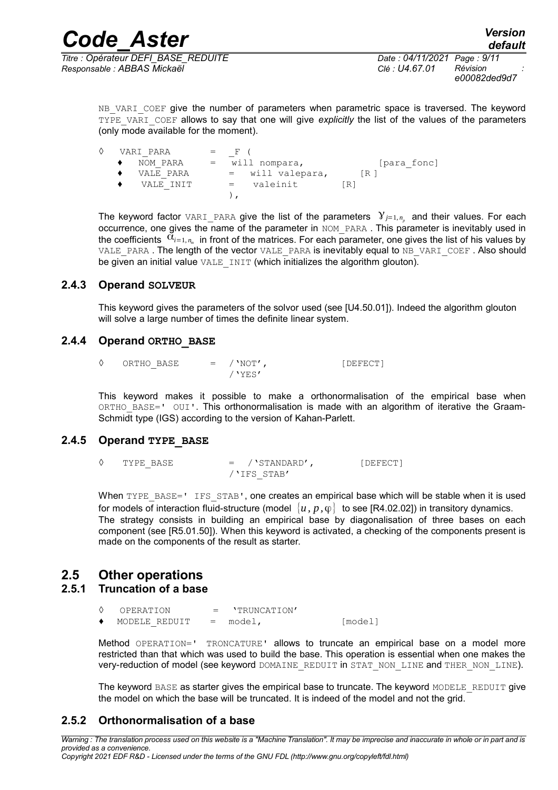*Responsable : ABBAS Mickaël Clé : U4.67.01 Révision : e00082ded9d7*

NB VARI COEF give the number of parameters when parametric space is traversed. The keyword TYPE\_VARI\_COEF allows to say that one will give *explicitly* the list of the values of the parameters (only mode available for the moment).

| VARI PARA | $=$ | $\mathbf{F}$       |             |
|-----------|-----|--------------------|-------------|
| NOM PARA  | $=$ | will nompara,      | [para fonc] |
| VALE PARA |     | $=$ will valepara, | IR 1        |
| VALE INIT |     | valeinit<br>$=$    | [R]         |
|           |     |                    |             |

The keyword factor VARI\_PARA give the list of the parameters  $\mathcal{Y}_{j=1,n_p}$  and their values. For each occurrence, one gives the name of the parameter in NOM PARA. This parameter is inevitably used in the coefficients  $\alpha_{i=1, n_m}$  in front of the matrices. For each parameter, one gives the list of his values by VALE PARA. The length of the vector VALE PARA is inevitably equal to NB VARI COEF. Also should be given an initial value VALE INIT (which initializes the algorithm glouton).

#### **2.4.3 Operand SOLVEUR**

<span id="page-8-5"></span>This keyword gives the parameters of the solvor used (see [U4.50.01]). Indeed the algorithm glouton will solve a large number of times the definite linear system.

#### **2.4.4 Operand ORTHO\_BASE**

<span id="page-8-4"></span>

| ORTHO BASE | $=$ / $'NOT'$ , | [DEFECT] |
|------------|-----------------|----------|
|            | / 'YES'         |          |

This keyword makes it possible to make a orthonormalisation of the empirical base when ORTHO BASE=' OUI'. This orthonormalisation is made with an algorithm of iterative the Graam-Schmidt type (IGS) according to the version of Kahan-Parlett.

#### **2.4.5 Operand TYPE\_BASE**

<span id="page-8-3"></span>◊ TYPE\_BASE = /'STANDARD', [DEFECT] /'IFS\_STAB'

When TYPE BASE=' IFS STAB', one creates an empirical base which will be stable when it is used for models of interaction fluid-structure (model  $\{u, p, \varphi\}$  to see [R4.02.02]) in transitory dynamics. The strategy consists in building an empirical base by diagonalisation of three bases on each component (see [R5.01.50]). When this keyword is activated, a checking of the components present is made on the components of the result as starter.

### <span id="page-8-2"></span>**2.5 Other operations**

#### **2.5.1 Truncation of a base**

<span id="page-8-1"></span>

| OPERATION     | $=$ 'TRUNCATION' |         |
|---------------|------------------|---------|
| MODELE REDUIT | $=$ model,       | [model] |

Method OPERATION=' TRONCATURE' allows to truncate an empirical base on a model more restricted than that which was used to build the base. This operation is essential when one makes the very-reduction of model (see keyword DOMAINE\_REDUIT in STAT\_NON\_LINE and THER\_NON\_LINE).

<span id="page-8-0"></span>The keyword BASE as starter gives the empirical base to truncate. The keyword MODELE\_REDUIT give the model on which the base will be truncated. It is indeed of the model and not the grid.

#### **2.5.2 Orthonormalisation of a base**

*Warning : The translation process used on this website is a "Machine Translation". It may be imprecise and inaccurate in whole or in part and is provided as a convenience. Copyright 2021 EDF R&D - Licensed under the terms of the GNU FDL (http://www.gnu.org/copyleft/fdl.html)*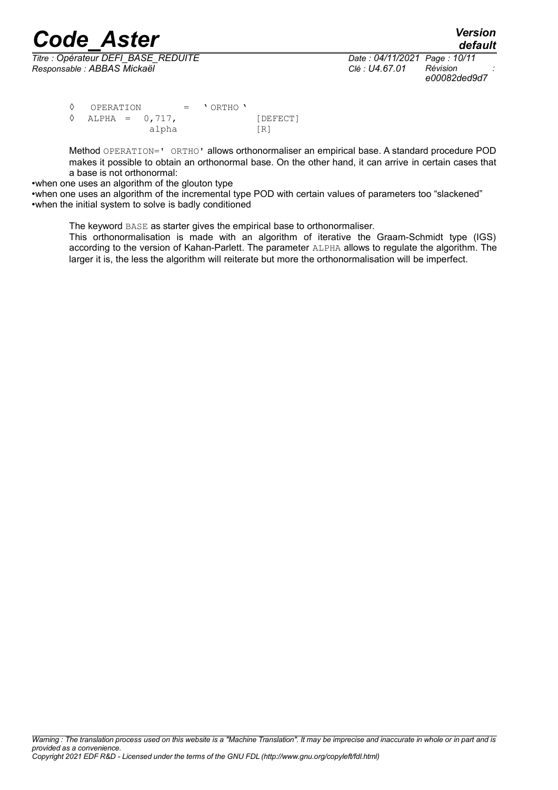*Titre : Opérateur DEFI\_BASE\_REDUITE Date : 04/11/2021 Page : 10/11 Responsable : ABBAS Mickaël Clé : U4.67.01 Révision :*

*e00082ded9d7*

 $\begin{array}{ccc} \Diamond & \text{OPERATION} \\ \Diamond & \text{ALPHA} = 0.717. \end{array}$  $ALPHA = 0,717,$  [DEFECT] alpha [R]

Method OPERATION=' ORTHO' allows orthonormaliser an empirical base. A standard procedure POD makes it possible to obtain an orthonormal base. On the other hand, it can arrive in certain cases that a base is not orthonormal:

•when one uses an algorithm of the glouton type

•when one uses an algorithm of the incremental type POD with certain values of parameters too "slackened" •when the initial system to solve is badly conditioned

The keyword BASE as starter gives the empirical base to orthonormaliser.

This orthonormalisation is made with an algorithm of iterative the Graam-Schmidt type (IGS) according to the version of Kahan-Parlett. The parameter ALPHA allows to regulate the algorithm. The larger it is, the less the algorithm will reiterate but more the orthonormalisation will be imperfect.